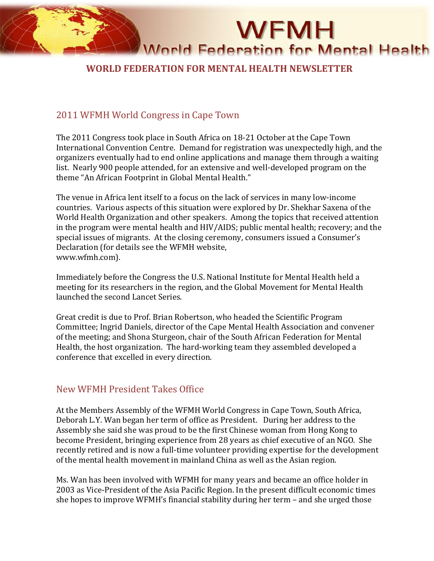

## **WORLD FEDERATION FOR MENTAL HEALTH NEWSLETTER**

#### 2011 WFMH World Congress in Cape Town

The 2011 Congress took place in South Africa on 18-21 October at the Cape Town International Convention Centre. Demand for registration was unexpectedly high, and the organizers eventually had to end online applications and manage them through a waiting list. Nearly 900 people attended, for an extensive and well-developed program on the theme "An African Footprint in Global Mental Health."

The venue in Africa lent itself to a focus on the lack of services in many low-income countries. Various aspects of this situation were explored by Dr. Shekhar Saxena of the World Health Organization and other speakers. Among the topics that received attention in the program were mental health and HIV/AIDS; public mental health; recovery; and the special issues of migrants. At the closing ceremony, consumers issued a Consumer's Declaration (for details see the WFMH website, www.wfmh.com).

Immediately before the Congress the U.S. National Institute for Mental Health held a meeting for its researchers in the region, and the Global Movement for Mental Health launched the second Lancet Series.

Great credit is due to Prof. Brian Robertson, who headed the Scientific Program Committee; Ingrid Daniels, director of the Cape Mental Health Association and convener of the meeting; and Shona Sturgeon, chair of the South African Federation for Mental Health, the host organization. The hard-working team they assembled developed a conference that excelled in every direction.

#### New WFMH President Takes Office

At the Members Assembly of the WFMH World Congress in Cape Town, South Africa, Deborah L.Y. Wan began her term of office as President. During her address to the Assembly she said she was proud to be the first Chinese woman from Hong Kong to become President, bringing experience from 28 years as chief executive of an NGO. She recently retired and is now a full-time volunteer providing expertise for the development of the mental health movement in mainland China as well as the Asian region.

Ms. Wan has been involved with WFMH for many years and became an office holder in 2003 as Vice-President of the Asia Pacific Region. In the present difficult economic times she hopes to improve WFMH's financial stability during her term – and she urged those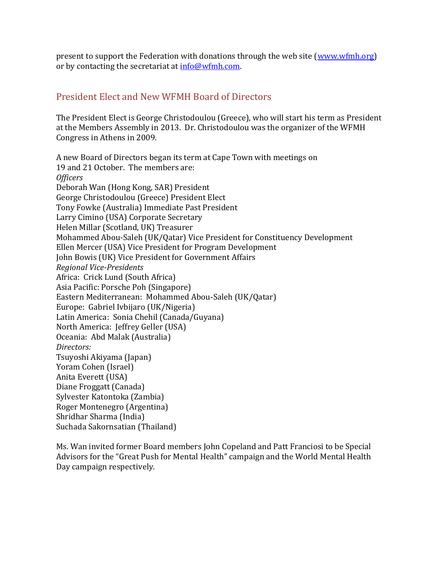present to support the Federation with donations through the web site [\(www.wfmh.org\)](http://www.wfmh.org/) or by contacting the secretariat at  $info@wfmh.com$ .

## President Elect and New WFMH Board of Directors

The President Elect is George Christodoulou (Greece), who will start his term as President at the Members Assembly in 2013. Dr. Christodoulou was the organizer of the WFMH Congress in Athens in 2009.

A new Board of Directors began its term at Cape Town with meetings on 19 and 21 October. The members are: *Officers* Deborah Wan (Hong Kong, SAR) President George Christodoulou (Greece) President Elect Tony Fowke (Australia) Immediate Past President Larry Cimino (USA) Corporate Secretary Helen Millar (Scotland, UK) Treasurer Mohammed Abou-Saleh (UK/Qatar) Vice President for Constituency Development Ellen Mercer (USA) Vice President for Program Development John Bowis (UK) Vice President for Government Affairs *Regional Vice-Presidents* Africa: Crick Lund (South Africa) Asia Pacific: Porsche Poh (Singapore) Eastern Mediterranean: Mohammed Abou-Saleh (UK/Qatar) Europe: Gabriel Ivbijaro (UK/Nigeria) Latin America: Sonia Chehil (Canada/Guyana) North America: Jeffrey Geller (USA) Oceania: Abd Malak (Australia) *Directors:* Tsuyoshi Akiyama (Japan) Yoram Cohen (Israel) Anita Everett (USA) Diane Froggatt (Canada) Sylvester Katontoka (Zambia) Roger Montenegro (Argentina) Shridhar Sharma (India) Suchada Sakornsatian (Thailand)

Ms. Wan invited former Board members John Copeland and Patt Franciosi to be Special Advisors for the "Great Push for Mental Health" campaign and the World Mental Health Day campaign respectively.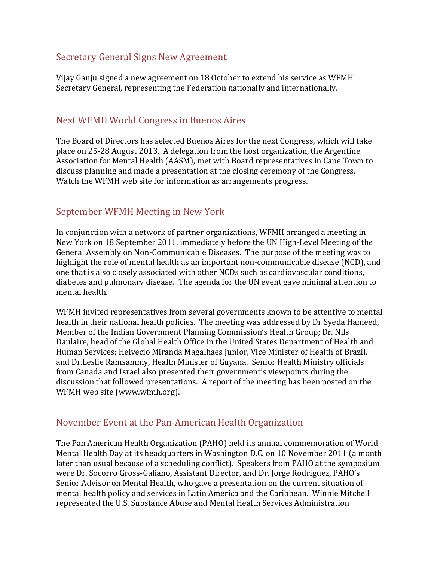#### Secretary General Signs New Agreement

Vijay Ganju signed a new agreement on 18 October to extend his service as WFMH Secretary General, representing the Federation nationally and internationally.

## Next WFMH World Congress in Buenos Aires

The Board of Directors has selected Buenos Aires for the next Congress, which will take place on 25-28 August 2013. A delegation from the host organization, the Argentine Association for Mental Health (AASM), met with Board representatives in Cape Town to discuss planning and made a presentation at the closing ceremony of the Congress. Watch the WFMH web site for information as arrangements progress.

## September WFMH Meeting in New York

In conjunction with a network of partner organizations, WFMH arranged a meeting in New York on 18 September 2011, immediately before the UN High-Level Meeting of the General Assembly on Non-Communicable Diseases. The purpose of the meeting was to highlight the role of mental health as an important non-communicable disease (NCD), and one that is also closely associated with other NCDs such as cardiovascular conditions, diabetes and pulmonary disease. The agenda for the UN event gave minimal attention to mental health.

WFMH invited representatives from several governments known to be attentive to mental health in their national health policies. The meeting was addressed by Dr Syeda Hameed, Member of the Indian Government Planning Commission's Health Group; Dr. Nils Daulaire, head of the Global Health Office in the United States Department of Health and Human Services; Helvecio Miranda Magalhaes Junior, Vice Minister of Health of Brazil, and Dr.Leslie Ramsammy, Health Minister of Guyana. Senior Health Ministry officials from Canada and Israel also presented their government's viewpoints during the discussion that followed presentations. A report of the meeting has been posted on the WFMH web site (www.wfmh.org).

#### November Event at the Pan-American Health Organization

The Pan American Health Organization (PAHO) held its annual commemoration of World Mental Health Day at its headquarters in Washington D.C. on 10 November 2011 (a month later than usual because of a scheduling conflict). Speakers from PAHO at the symposium were Dr. Socorro Gross-Galiano, Assistant Director, and Dr. Jorge Rodriguez, PAHO's Senior Advisor on Mental Health, who gave a presentation on the current situation of mental health policy and services in Latin America and the Caribbean. Winnie Mitchell represented the U.S. Substance Abuse and Mental Health Services Administration